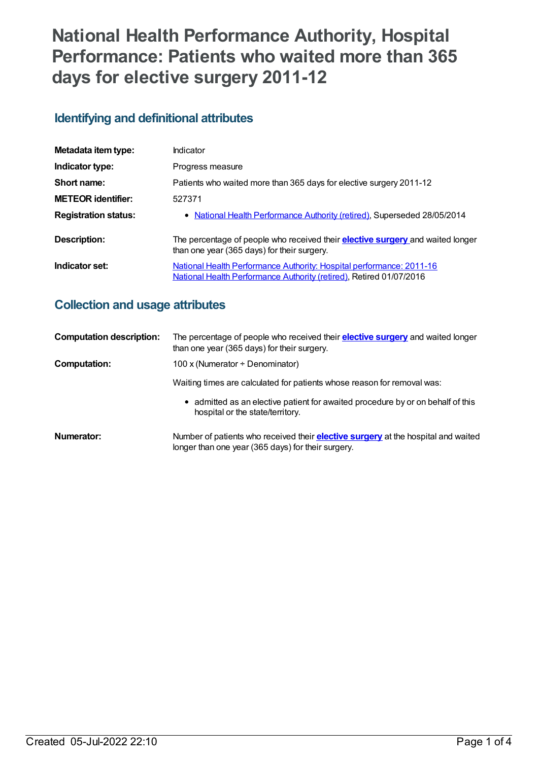# **National Health Performance Authority, Hospital Performance: Patients who waited more than 365 days for elective surgery 2011-12**

# **Identifying and definitional attributes**

| Metadata item type:         | Indicator                                                                                                                                          |
|-----------------------------|----------------------------------------------------------------------------------------------------------------------------------------------------|
| Indicator type:             | Progress measure                                                                                                                                   |
| Short name:                 | Patients who waited more than 365 days for elective surgery 2011-12                                                                                |
| <b>METEOR identifier:</b>   | 527371                                                                                                                                             |
| <b>Registration status:</b> | • National Health Performance Authority (retired), Superseded 28/05/2014                                                                           |
| Description:                | The percentage of people who received their <b>elective surgery</b> and waited longer<br>than one year (365 days) for their surgery.               |
| Indicator set:              | <b>National Health Performance Authority: Hospital performance: 2011-16</b><br>National Health Performance Authority (retired), Retired 01/07/2016 |

# **Collection and usage attributes**

| <b>Computation description:</b> | The percentage of people who received their <b>elective surgery</b> and waited longer<br>than one year (365 days) for their surgery.           |
|---------------------------------|------------------------------------------------------------------------------------------------------------------------------------------------|
| <b>Computation:</b>             | 100 x (Numerator ÷ Denominator)                                                                                                                |
|                                 | Waiting times are calculated for patients whose reason for removal was:                                                                        |
|                                 | • admitted as an elective patient for awaited procedure by or on behalf of this<br>hospital or the state/territory.                            |
| Numerator:                      | Number of patients who received their <b>elective surgery</b> at the hospital and waited<br>longer than one year (365 days) for their surgery. |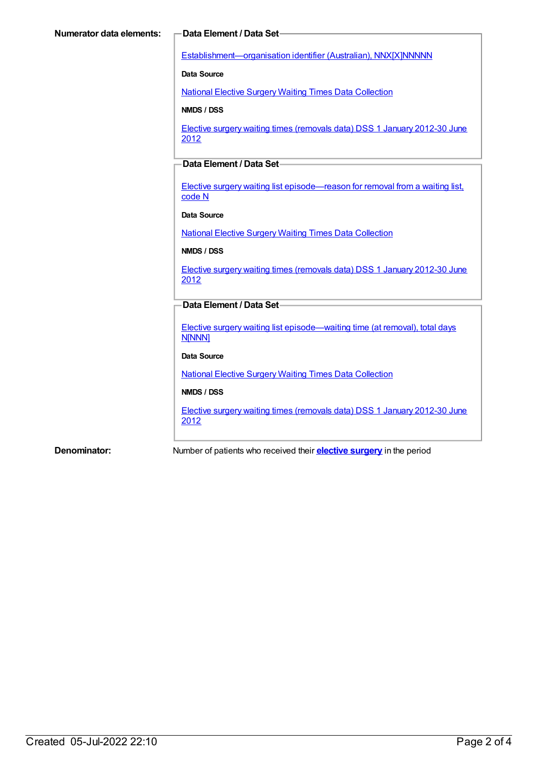[Establishment—organisation](https://meteor.aihw.gov.au/content/269973) identifier (Australian), NNX[X]NNNNN

**Data Source**

National Elective Surgery Waiting Times Data [Collection](https://meteor.aihw.gov.au/content/395071)

**NMDS / DSS**

Elective surgery waiting times [\(removals](https://meteor.aihw.gov.au/content/470097) data) DSS 1 January 2012-30 June 2012

### **Data Element / Data Set**

Elective surgery waiting list [episode—reason](https://meteor.aihw.gov.au/content/471735) for removal from a waiting list, code N

#### **Data Source**

National Elective Surgery Waiting Times Data [Collection](https://meteor.aihw.gov.au/content/395071)

#### **NMDS / DSS**

Elective surgery waiting times [\(removals](https://meteor.aihw.gov.au/content/470097) data) DSS 1 January 2012-30 June 2012

#### **Data Element / Data Set**

Elective surgery waiting list [episode—waiting](https://meteor.aihw.gov.au/content/471744) time (at removal), total days **N[NNN]** 

#### **Data Source**

National Elective Surgery Waiting Times Data [Collection](https://meteor.aihw.gov.au/content/395071)

#### **NMDS / DSS**

Elective surgery waiting times [\(removals](https://meteor.aihw.gov.au/content/470097) data) DSS 1 January 2012-30 June 2012

**Denominator:** Number of patients who received their **[elective](https://meteor.aihw.gov.au/content/327226) surgery** in the period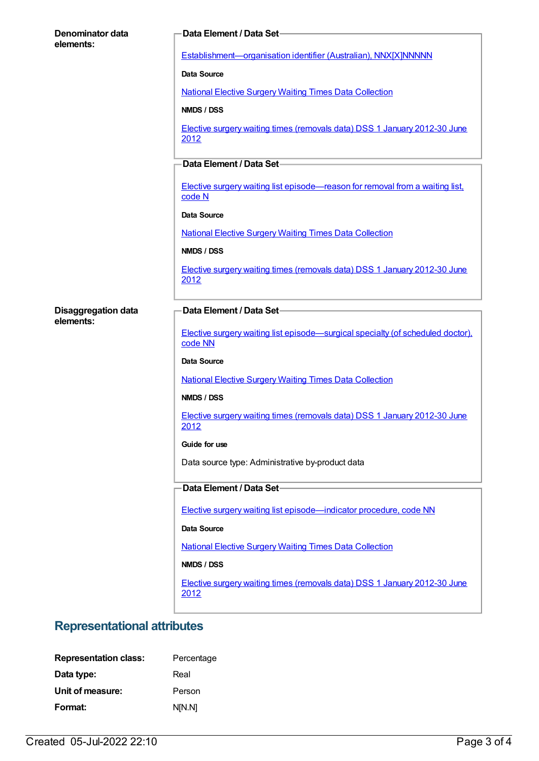| Denominator data<br>elements: | Data Element / Data Set-                                                                   |
|-------------------------------|--------------------------------------------------------------------------------------------|
|                               | Establishment-organisation identifier (Australian), NNX[X]NNNNN                            |
|                               | <b>Data Source</b>                                                                         |
|                               | <b>National Elective Surgery Waiting Times Data Collection</b>                             |
|                               | NMDS / DSS                                                                                 |
|                               | Elective surgery waiting times (removals data) DSS 1 January 2012-30 June<br>2012          |
|                               | Data Element / Data Set-                                                                   |
|                               | Elective surgery waiting list episode—reason for removal from a waiting list,<br>code N    |
|                               | <b>Data Source</b>                                                                         |
|                               | <b>National Elective Surgery Waiting Times Data Collection</b>                             |
|                               | NMDS / DSS                                                                                 |
|                               | Elective surgery waiting times (removals data) DSS 1 January 2012-30 June<br>2012          |
| <b>Disaggregation data</b>    | Data Element / Data Set-                                                                   |
| elements:                     |                                                                                            |
|                               | Elective surgery waiting list episode—surgical specialty (of scheduled doctor).<br>code NN |
|                               | <b>Data Source</b>                                                                         |
|                               | <b>National Elective Surgery Waiting Times Data Collection</b>                             |
|                               | NMDS / DSS                                                                                 |
|                               | Elective surgery waiting times (removals data) DSS 1 January 2012-30 June<br>2012          |
|                               | Guide for use                                                                              |
|                               | Data source type: Administrative by-product data                                           |
|                               | Data Element / Data Set-                                                                   |
|                               | Elective surgery waiting list episode-indicator procedure, code NN                         |
|                               | Data Source                                                                                |
|                               |                                                                                            |
|                               | <b>National Elective Surgery Waiting Times Data Collection</b><br>NMDS / DSS               |
|                               |                                                                                            |
|                               | Elective surgery waiting times (removals data) DSS 1 January 2012-30 June<br>2012          |

# **Representational attributes**

| <b>Representation class:</b> | Percentage |
|------------------------------|------------|
| Data type:                   | Real       |
| Unit of measure:             | Person     |
| Format:                      | NM.NJ      |